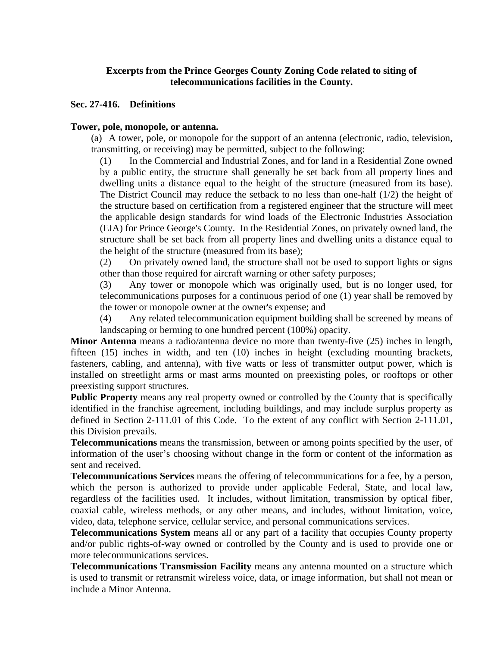# **Excerpts from the Prince Georges County Zoning Code related to siting of telecommunications facilities in the County.**

#### **Sec. 27-416. Definitions**

#### **Tower, pole, monopole, or antenna.**

(a) A tower, pole, or monopole for the support of an antenna (electronic, radio, television, transmitting, or receiving) may be permitted, subject to the following:

(1) In the Commercial and Industrial Zones, and for land in a Residential Zone owned by a public entity, the structure shall generally be set back from all property lines and dwelling units a distance equal to the height of the structure (measured from its base). The District Council may reduce the setback to no less than one-half  $(1/2)$  the height of the structure based on certification from a registered engineer that the structure will meet the applicable design standards for wind loads of the Electronic Industries Association (EIA) for Prince George's County. In the Residential Zones, on privately owned land, the structure shall be set back from all property lines and dwelling units a distance equal to the height of the structure (measured from its base);

(2) On privately owned land, the structure shall not be used to support lights or signs other than those required for aircraft warning or other safety purposes;

(3) Any tower or monopole which was originally used, but is no longer used, for telecommunications purposes for a continuous period of one (1) year shall be removed by the tower or monopole owner at the owner's expense; and

(4) Any related telecommunication equipment building shall be screened by means of landscaping or berming to one hundred percent (100%) opacity.

**Minor Antenna** means a radio/antenna device no more than twenty-five (25) inches in length, fifteen (15) inches in width, and ten (10) inches in height (excluding mounting brackets, fasteners, cabling, and antenna), with five watts or less of transmitter output power, which is installed on streetlight arms or mast arms mounted on preexisting poles, or rooftops or other preexisting support structures.

**Public Property** means any real property owned or controlled by the County that is specifically identified in the franchise agreement, including buildings, and may include surplus property as defined in Section 2-111.01 of this Code. To the extent of any conflict with Section 2-111.01, this Division prevails.

**Telecommunications** means the transmission, between or among points specified by the user, of information of the user's choosing without change in the form or content of the information as sent and received.

**Telecommunications Services** means the offering of telecommunications for a fee, by a person, which the person is authorized to provide under applicable Federal, State, and local law, regardless of the facilities used. It includes, without limitation, transmission by optical fiber, coaxial cable, wireless methods, or any other means, and includes, without limitation, voice, video, data, telephone service, cellular service, and personal communications services.

**Telecommunications System** means all or any part of a facility that occupies County property and/or public rights-of-way owned or controlled by the County and is used to provide one or more telecommunications services.

**Telecommunications Transmission Facility** means any antenna mounted on a structure which is used to transmit or retransmit wireless voice, data, or image information, but shall not mean or include a Minor Antenna.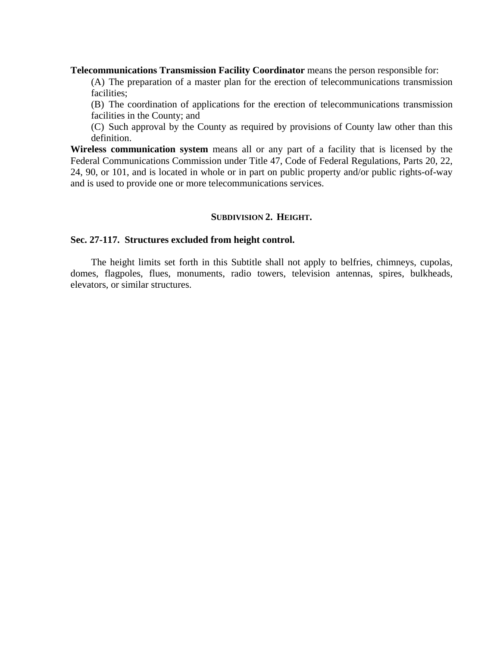**Telecommunications Transmission Facility Coordinator** means the person responsible for:

(A) The preparation of a master plan for the erection of telecommunications transmission facilities;

(B) The coordination of applications for the erection of telecommunications transmission facilities in the County; and

(C) Such approval by the County as required by provisions of County law other than this definition.

**Wireless communication system** means all or any part of a facility that is licensed by the Federal Communications Commission under Title 47, Code of Federal Regulations, Parts 20, 22, 24, 90, or 101, and is located in whole or in part on public property and/or public rights-of-way and is used to provide one or more telecommunications services.

# **SUBDIVISION 2. HEIGHT.**

#### **Sec. 27-117. Structures excluded from height control.**

 The height limits set forth in this Subtitle shall not apply to belfries, chimneys, cupolas, domes, flagpoles, flues, monuments, radio towers, television antennas, spires, bulkheads, elevators, or similar structures.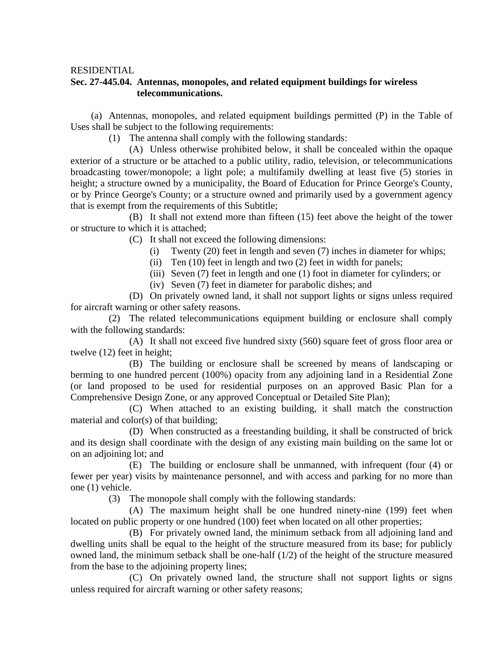#### RESIDENTIAL

# **Sec. 27-445.04. Antennas, monopoles, and related equipment buildings for wireless telecommunications.**

 (a) Antennas, monopoles, and related equipment buildings permitted (P) in the Table of Uses shall be subject to the following requirements:

(1) The antenna shall comply with the following standards:

 (A) Unless otherwise prohibited below, it shall be concealed within the opaque exterior of a structure or be attached to a public utility, radio, television, or telecommunications broadcasting tower/monopole; a light pole; a multifamily dwelling at least five (5) stories in height; a structure owned by a municipality, the Board of Education for Prince George's County, or by Prince George's County; or a structure owned and primarily used by a government agency that is exempt from the requirements of this Subtitle;

 (B) It shall not extend more than fifteen (15) feet above the height of the tower or structure to which it is attached;

- (C) It shall not exceed the following dimensions:
	- (i) Twenty (20) feet in length and seven (7) inches in diameter for whips;
	- (ii) Ten (10) feet in length and two (2) feet in width for panels;
	- (iii) Seven (7) feet in length and one (1) foot in diameter for cylinders; or
	- (iv) Seven (7) feet in diameter for parabolic dishes; and

 (D) On privately owned land, it shall not support lights or signs unless required for aircraft warning or other safety reasons.

 (2) The related telecommunications equipment building or enclosure shall comply with the following standards:

 (A) It shall not exceed five hundred sixty (560) square feet of gross floor area or twelve (12) feet in height;

 (B) The building or enclosure shall be screened by means of landscaping or berming to one hundred percent (100%) opacity from any adjoining land in a Residential Zone (or land proposed to be used for residential purposes on an approved Basic Plan for a Comprehensive Design Zone, or any approved Conceptual or Detailed Site Plan);

 (C) When attached to an existing building, it shall match the construction material and color(s) of that building;

 (D) When constructed as a freestanding building, it shall be constructed of brick and its design shall coordinate with the design of any existing main building on the same lot or on an adjoining lot; and

 (E) The building or enclosure shall be unmanned, with infrequent (four (4) or fewer per year) visits by maintenance personnel, and with access and parking for no more than one (1) vehicle.

(3) The monopole shall comply with the following standards:

 (A) The maximum height shall be one hundred ninety-nine (199) feet when located on public property or one hundred (100) feet when located on all other properties;

 (B) For privately owned land, the minimum setback from all adjoining land and dwelling units shall be equal to the height of the structure measured from its base; for publicly owned land, the minimum setback shall be one-half (1/2) of the height of the structure measured from the base to the adjoining property lines;

 (C) On privately owned land, the structure shall not support lights or signs unless required for aircraft warning or other safety reasons;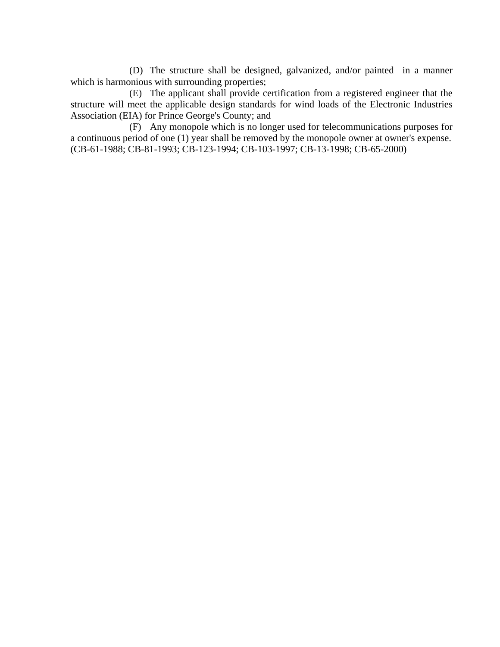(D) The structure shall be designed, galvanized, and/or painted in a manner which is harmonious with surrounding properties;

 (E) The applicant shall provide certification from a registered engineer that the structure will meet the applicable design standards for wind loads of the Electronic Industries Association (EIA) for Prince George's County; and

 (F) Any monopole which is no longer used for telecommunications purposes for a continuous period of one (1) year shall be removed by the monopole owner at owner's expense. (CB-61-1988; CB-81-1993; CB-123-1994; CB-103-1997; CB-13-1998; CB-65-2000)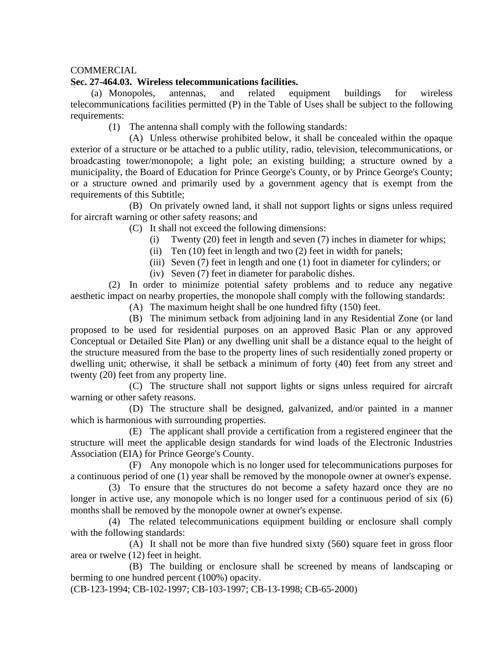# **COMMERCIAL**

### **Sec. 27-464.03. Wireless telecommunications facilities.**

 (a) Monopoles, antennas, and related equipment buildings for wireless telecommunications facilities permitted (P) in the Table of Uses shall be subject to the following requirements:

(1) The antenna shall comply with the following standards:

 (A) Unless otherwise prohibited below, it shall be concealed within the opaque exterior of a structure or be attached to a public utility, radio, television, telecommunications, or broadcasting tower/monopole; a light pole; an existing building; a structure owned by a municipality, the Board of Education for Prince George's County, or by Prince George's County; or a structure owned and primarily used by a government agency that is exempt from the requirements of this Subtitle;

 (B) On privately owned land, it shall not support lights or signs unless required for aircraft warning or other safety reasons; and

(C) It shall not exceed the following dimensions:

- (i) Twenty (20) feet in length and seven (7) inches in diameter for whips;
- (ii) Ten (10) feet in length and two (2) feet in width for panels;
- (iii) Seven (7) feet in length and one (1) foot in diameter for cylinders; or
- (iv) Seven (7) feet in diameter for parabolic dishes.

 (2) In order to minimize potential safety problems and to reduce any negative aesthetic impact on nearby properties, the monopole shall comply with the following standards:

(A) The maximum height shall be one hundred fifty (150) feet.

 (B) The minimum setback from adjoining land in any Residential Zone (or land proposed to be used for residential purposes on an approved Basic Plan or any approved Conceptual or Detailed Site Plan) or any dwelling unit shall be a distance equal to the height of the structure measured from the base to the property lines of such residentially zoned property or dwelling unit; otherwise, it shall be setback a minimum of forty (40) feet from any street and twenty (20) feet from any property line.

 (C) The structure shall not support lights or signs unless required for aircraft warning or other safety reasons.

 (D) The structure shall be designed, galvanized, and/or painted in a manner which is harmonious with surrounding properties.

 (E) The applicant shall provide a certification from a registered engineer that the structure will meet the applicable design standards for wind loads of the Electronic Industries Association (EIA) for Prince George's County.

 (F) Any monopole which is no longer used for telecommunications purposes for a continuous period of one (1) year shall be removed by the monopole owner at owner's expense.

 (3) To ensure that the structures do not become a safety hazard once they are no longer in active use, any monopole which is no longer used for a continuous period of six (6) months shall be removed by the monopole owner at owner's expense.

 (4) The related telecommunications equipment building or enclosure shall comply with the following standards:

 (A) It shall not be more than five hundred sixty (560) square feet in gross floor area or twelve (12) feet in height.

 (B) The building or enclosure shall be screened by means of landscaping or berming to one hundred percent (100%) opacity.

(CB-123-1994; CB-102-1997; CB-103-1997; CB-13-1998; CB-65-2000)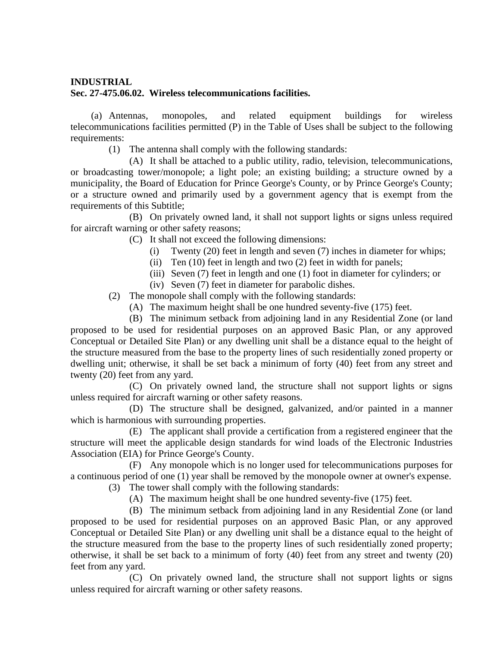### **INDUSTRIAL**

# **Sec. 27-475.06.02. Wireless telecommunications facilities.**

 (a) Antennas, monopoles, and related equipment buildings for wireless telecommunications facilities permitted (P) in the Table of Uses shall be subject to the following requirements:

(1) The antenna shall comply with the following standards:

 (A) It shall be attached to a public utility, radio, television, telecommunications, or broadcasting tower/monopole; a light pole; an existing building; a structure owned by a municipality, the Board of Education for Prince George's County, or by Prince George's County; or a structure owned and primarily used by a government agency that is exempt from the requirements of this Subtitle;

 (B) On privately owned land, it shall not support lights or signs unless required for aircraft warning or other safety reasons;

- (C) It shall not exceed the following dimensions:
	- (i) Twenty (20) feet in length and seven (7) inches in diameter for whips;
	- (ii) Ten (10) feet in length and two (2) feet in width for panels;
	- (iii) Seven (7) feet in length and one (1) foot in diameter for cylinders; or
	- (iv) Seven (7) feet in diameter for parabolic dishes.
- (2) The monopole shall comply with the following standards:
	- (A) The maximum height shall be one hundred seventy-five (175) feet.

 (B) The minimum setback from adjoining land in any Residential Zone (or land proposed to be used for residential purposes on an approved Basic Plan, or any approved Conceptual or Detailed Site Plan) or any dwelling unit shall be a distance equal to the height of the structure measured from the base to the property lines of such residentially zoned property or dwelling unit; otherwise, it shall be set back a minimum of forty (40) feet from any street and twenty (20) feet from any yard.

 (C) On privately owned land, the structure shall not support lights or signs unless required for aircraft warning or other safety reasons.

 (D) The structure shall be designed, galvanized, and/or painted in a manner which is harmonious with surrounding properties.

 (E) The applicant shall provide a certification from a registered engineer that the structure will meet the applicable design standards for wind loads of the Electronic Industries Association (EIA) for Prince George's County.

 (F) Any monopole which is no longer used for telecommunications purposes for a continuous period of one (1) year shall be removed by the monopole owner at owner's expense.

(3) The tower shall comply with the following standards:

(A) The maximum height shall be one hundred seventy-five (175) feet.

 (B) The minimum setback from adjoining land in any Residential Zone (or land proposed to be used for residential purposes on an approved Basic Plan, or any approved Conceptual or Detailed Site Plan) or any dwelling unit shall be a distance equal to the height of the structure measured from the base to the property lines of such residentially zoned property; otherwise, it shall be set back to a minimum of forty (40) feet from any street and twenty (20) feet from any yard.

 (C) On privately owned land, the structure shall not support lights or signs unless required for aircraft warning or other safety reasons.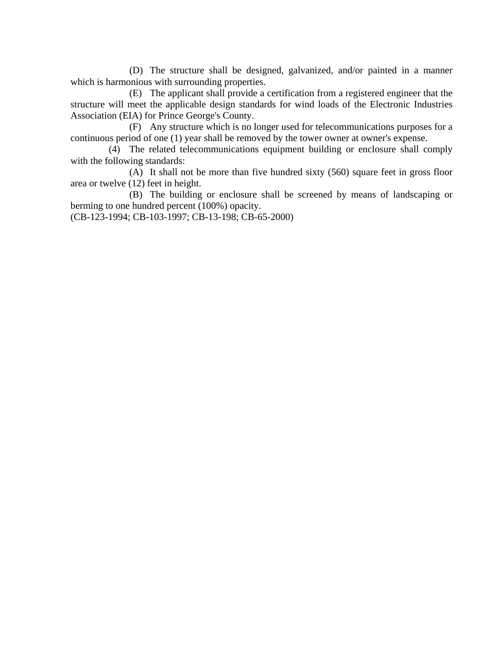(D) The structure shall be designed, galvanized, and/or painted in a manner which is harmonious with surrounding properties.

 (E) The applicant shall provide a certification from a registered engineer that the structure will meet the applicable design standards for wind loads of the Electronic Industries Association (EIA) for Prince George's County.

 (F) Any structure which is no longer used for telecommunications purposes for a continuous period of one (1) year shall be removed by the tower owner at owner's expense.

 (4) The related telecommunications equipment building or enclosure shall comply with the following standards:

 (A) It shall not be more than five hundred sixty (560) square feet in gross floor area or twelve (12) feet in height.

 (B) The building or enclosure shall be screened by means of landscaping or berming to one hundred percent (100%) opacity.

(CB-123-1994; CB-103-1997; CB-13-198; CB-65-2000)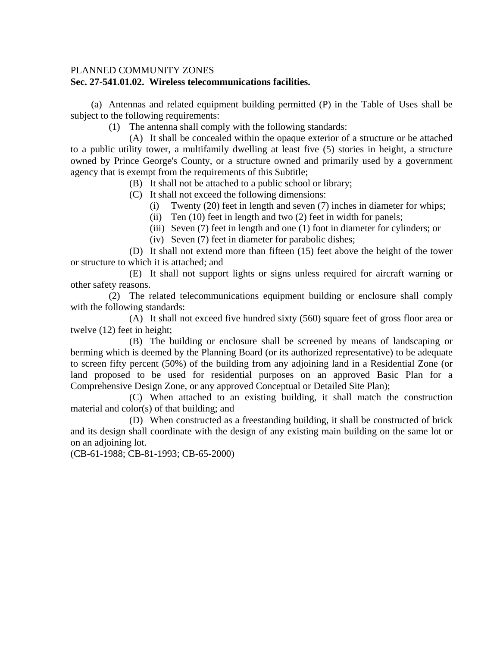### PLANNED COMMUNITY ZONES

#### **Sec. 27-541.01.02. Wireless telecommunications facilities.**

 (a) Antennas and related equipment building permitted (P) in the Table of Uses shall be subject to the following requirements:

(1) The antenna shall comply with the following standards:

 (A) It shall be concealed within the opaque exterior of a structure or be attached to a public utility tower, a multifamily dwelling at least five (5) stories in height, a structure owned by Prince George's County, or a structure owned and primarily used by a government agency that is exempt from the requirements of this Subtitle;

(B) It shall not be attached to a public school or library;

- (C) It shall not exceed the following dimensions:
	- (i) Twenty (20) feet in length and seven (7) inches in diameter for whips;
	- (ii) Ten (10) feet in length and two (2) feet in width for panels;
	- (iii) Seven (7) feet in length and one (1) foot in diameter for cylinders; or
	- (iv) Seven (7) feet in diameter for parabolic dishes;

 (D) It shall not extend more than fifteen (15) feet above the height of the tower or structure to which it is attached; and

 (E) It shall not support lights or signs unless required for aircraft warning or other safety reasons.

 (2) The related telecommunications equipment building or enclosure shall comply with the following standards:

 (A) It shall not exceed five hundred sixty (560) square feet of gross floor area or twelve (12) feet in height;

 (B) The building or enclosure shall be screened by means of landscaping or berming which is deemed by the Planning Board (or its authorized representative) to be adequate to screen fifty percent (50%) of the building from any adjoining land in a Residential Zone (or land proposed to be used for residential purposes on an approved Basic Plan for a Comprehensive Design Zone, or any approved Conceptual or Detailed Site Plan);

 (C) When attached to an existing building, it shall match the construction material and color(s) of that building; and

 (D) When constructed as a freestanding building, it shall be constructed of brick and its design shall coordinate with the design of any existing main building on the same lot or on an adjoining lot.

(CB-61-1988; CB-81-1993; CB-65-2000)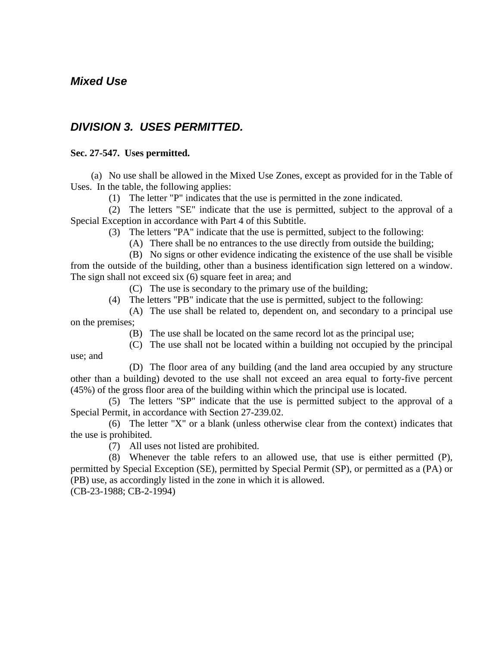# *Mixed Use*

# *DIVISION 3. USES PERMITTED.*

# **Sec. 27-547. Uses permitted.**

 (a) No use shall be allowed in the Mixed Use Zones, except as provided for in the Table of Uses. In the table, the following applies:

(1) The letter "P" indicates that the use is permitted in the zone indicated.

 (2) The letters "SE" indicate that the use is permitted, subject to the approval of a Special Exception in accordance with Part 4 of this Subtitle.

(3) The letters "PA" indicate that the use is permitted, subject to the following:

(A) There shall be no entrances to the use directly from outside the building;

 (B) No signs or other evidence indicating the existence of the use shall be visible from the outside of the building, other than a business identification sign lettered on a window. The sign shall not exceed six (6) square feet in area; and

(C) The use is secondary to the primary use of the building;

(4) The letters "PB" indicate that the use is permitted, subject to the following:

 (A) The use shall be related to, dependent on, and secondary to a principal use on the premises;

(B) The use shall be located on the same record lot as the principal use;

 (C) The use shall not be located within a building not occupied by the principal use; and

 (D) The floor area of any building (and the land area occupied by any structure other than a building) devoted to the use shall not exceed an area equal to forty-five percent (45%) of the gross floor area of the building within which the principal use is located.

 (5) The letters "SP" indicate that the use is permitted subject to the approval of a Special Permit, in accordance with Section 27-239.02.

 (6) The letter "X" or a blank (unless otherwise clear from the context) indicates that the use is prohibited.

(7) All uses not listed are prohibited.

 (8) Whenever the table refers to an allowed use, that use is either permitted (P), permitted by Special Exception (SE), permitted by Special Permit (SP), or permitted as a (PA) or (PB) use, as accordingly listed in the zone in which it is allowed.

(CB-23-1988; CB-2-1994)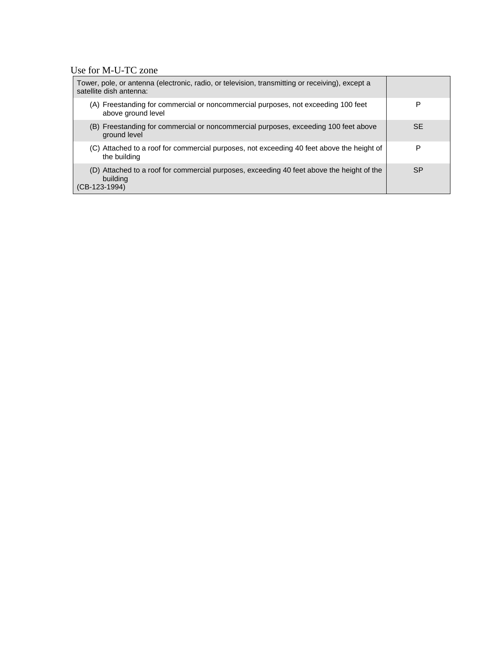# Use for M-U-TC zone

| Tower, pole, or antenna (electronic, radio, or television, transmitting or receiving), except a<br>satellite dish antenna: |           |
|----------------------------------------------------------------------------------------------------------------------------|-----------|
| (A) Freestanding for commercial or noncommercial purposes, not exceeding 100 feet<br>above ground level                    | Р         |
| (B) Freestanding for commercial or noncommercial purposes, exceeding 100 feet above<br>ground level                        | <b>SE</b> |
| (C) Attached to a roof for commercial purposes, not exceeding 40 feet above the height of<br>the building                  | Р         |
| (D) Attached to a roof for commercial purposes, exceeding 40 feet above the height of the<br>building<br>$(CB-123-1994)$   | <b>SP</b> |